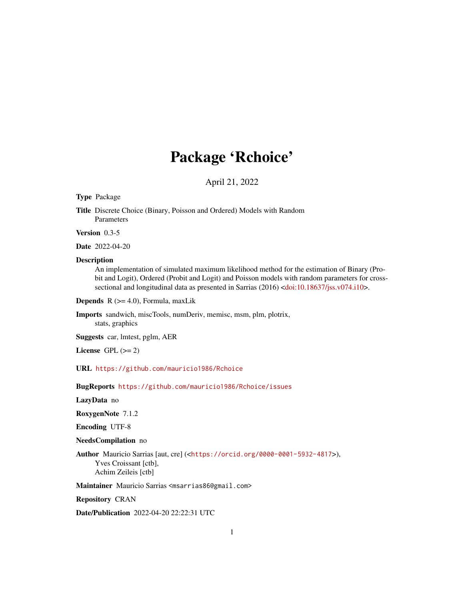# Package 'Rchoice'

April 21, 2022

#### <span id="page-0-0"></span>Type Package

Title Discrete Choice (Binary, Poisson and Ordered) Models with Random Parameters

Version 0.3-5

Date 2022-04-20

#### Description

An implementation of simulated maximum likelihood method for the estimation of Binary (Probit and Logit), Ordered (Probit and Logit) and Poisson models with random parameters for cross-sectional and longitudinal data as presented in Sarrias (2016) [<doi:10.18637/jss.v074.i10>](https://doi.org/10.18637/jss.v074.i10).

**Depends**  $R$  ( $>= 4.0$ ), Formula, maxLik

Imports sandwich, miscTools, numDeriv, memisc, msm, plm, plotrix, stats, graphics

Suggests car, lmtest, pglm, AER

License GPL  $(>= 2)$ 

URL <https://github.com/mauricio1986/Rchoice>

BugReports <https://github.com/mauricio1986/Rchoice/issues>

LazyData no

RoxygenNote 7.1.2

Encoding UTF-8

#### NeedsCompilation no

Author Mauricio Sarrias [aut, cre] (<<https://orcid.org/0000-0001-5932-4817>>), Yves Croissant [ctb], Achim Zeileis [ctb]

Maintainer Mauricio Sarrias <msarrias86@gmail.com>

Repository CRAN

Date/Publication 2022-04-20 22:22:31 UTC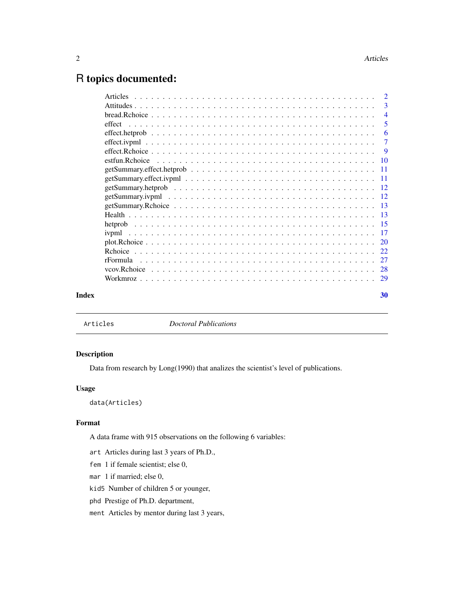## <span id="page-1-0"></span>R topics documented:

|                                                                                                              | -3             |
|--------------------------------------------------------------------------------------------------------------|----------------|
| $bread.Rchoice \ldots \ldots \ldots \ldots \ldots \ldots \ldots \ldots \ldots \ldots \ldots \ldots \ldots$   | $\overline{4}$ |
|                                                                                                              | 5              |
|                                                                                                              | -6             |
|                                                                                                              | $\overline{7}$ |
| effect. Rehoice $\ldots \ldots \ldots \ldots \ldots \ldots \ldots \ldots \ldots \ldots \ldots \ldots \ldots$ |                |
|                                                                                                              |                |
|                                                                                                              |                |
|                                                                                                              |                |
|                                                                                                              |                |
|                                                                                                              |                |
|                                                                                                              |                |
|                                                                                                              |                |
|                                                                                                              |                |
|                                                                                                              |                |
|                                                                                                              |                |
|                                                                                                              |                |
|                                                                                                              |                |
|                                                                                                              |                |
|                                                                                                              |                |
| Index                                                                                                        | 30             |

Articles *Doctoral Publications*

#### Description

Data from research by Long(1990) that analizes the scientist's level of publications.

#### Usage

data(Articles)

#### Format

A data frame with 915 observations on the following 6 variables:

art Articles during last 3 years of Ph.D.,

fem 1 if female scientist; else 0,

mar 1 if married; else 0,

kid5 Number of children 5 or younger,

phd Prestige of Ph.D. department,

ment Articles by mentor during last 3 years,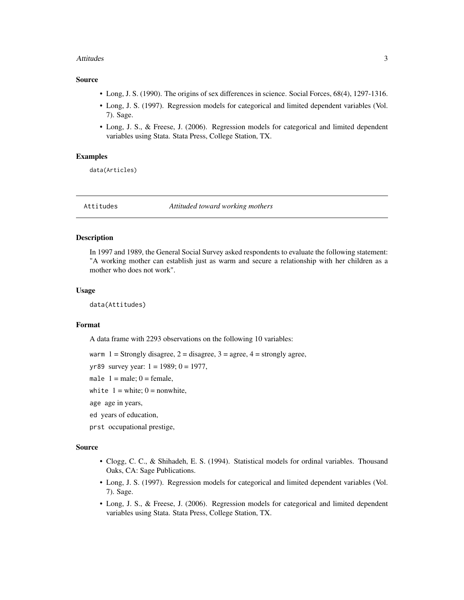#### <span id="page-2-0"></span>Attitudes 3

#### Source

- Long, J. S. (1990). The origins of sex differences in science. Social Forces, 68(4), 1297-1316.
- Long, J. S. (1997). Regression models for categorical and limited dependent variables (Vol. 7). Sage.
- Long, J. S., & Freese, J. (2006). Regression models for categorical and limited dependent variables using Stata. Stata Press, College Station, TX.

#### Examples

data(Articles)

Attitudes *Attituded toward working mothers*

#### Description

In 1997 and 1989, the General Social Survey asked respondents to evaluate the following statement: "A working mother can establish just as warm and secure a relationship with her children as a mother who does not work".

#### Usage

data(Attitudes)

#### Format

A data frame with 2293 observations on the following 10 variables:

warm  $1 =$  Strongly disagree,  $2 =$  disagree,  $3 =$  agree,  $4 =$  strongly agree,

yr89 survey year:  $1 = 1989$ ;  $0 = 1977$ ,

male  $1 =$  male;  $0 =$  female,

white  $1 =$  white;  $0 =$  nonwhite,

age age in years,

ed years of education,

prst occupational prestige,

#### Source

- Clogg, C. C., & Shihadeh, E. S. (1994). Statistical models for ordinal variables. Thousand Oaks, CA: Sage Publications.
- Long, J. S. (1997). Regression models for categorical and limited dependent variables (Vol. 7). Sage.
- Long, J. S., & Freese, J. (2006). Regression models for categorical and limited dependent variables using Stata. Stata Press, College Station, TX.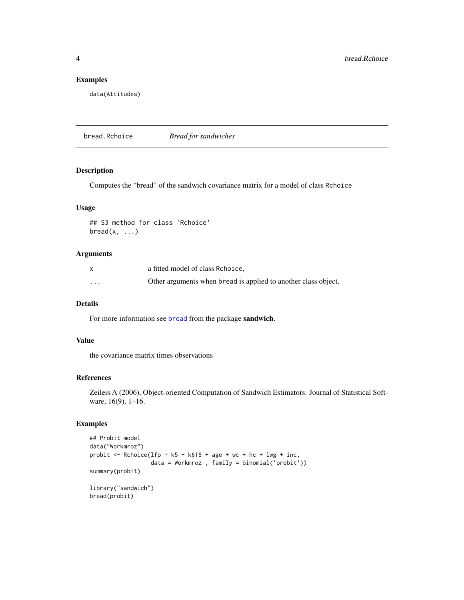#### Examples

data(Attitudes)

bread.Rchoice *Bread for sandwiches*

#### Description

Computes the "bread" of the sandwich covariance matrix for a model of class Rchoice

#### Usage

## S3 method for class 'Rchoice'  $break(x, \ldots)$ 

#### Arguments

|                      | a fitted model of class Rchoice.                               |
|----------------------|----------------------------------------------------------------|
| $\ddot{\phantom{0}}$ | Other arguments when bread is applied to another class object. |

#### Details

For more information see [bread](#page-0-0) from the package sandwich.

#### Value

the covariance matrix times observations

#### References

Zeileis A (2006), Object-oriented Computation of Sandwich Estimators. Journal of Statistical Software, 16(9), 1-16.

```
## Probit model
data("Workmroz")
probit \leq Rchoice(lfp \sim k5 + k618 + age + wc + hc + lwg + inc,
                  data = Workmroz , family = binomial('probit'))
summary(probit)
library("sandwich")
bread(probit)
```
<span id="page-3-0"></span>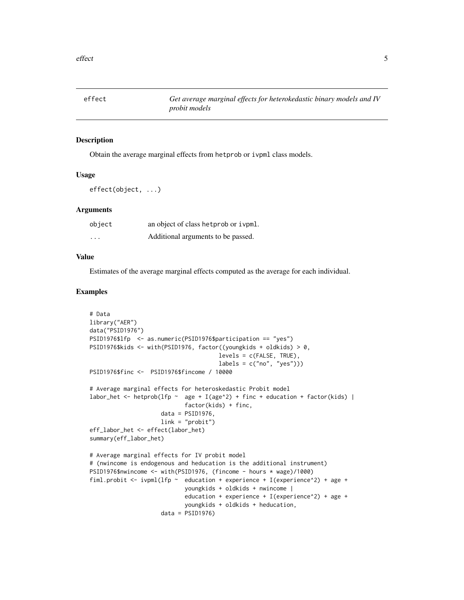<span id="page-4-0"></span>

#### Description

Obtain the average marginal effects from hetprob or ivpml class models.

#### Usage

effect(object, ...)

#### Arguments

| object                  | an object of class het prob or ivpml. |
|-------------------------|---------------------------------------|
| $\cdot$ $\cdot$ $\cdot$ | Additional arguments to be passed.    |

#### Value

Estimates of the average marginal effects computed as the average for each individual.

```
# Data
library("AER")
data("PSID1976")
PSID1976$lfp <- as.numeric(PSID1976$participation == "yes")
PSID1976$kids <- with(PSID1976, factor((youngkids + oldkids) > 0,
                                      levels = c(FALSE, TRUE),
                                      labels = c("no", "yes"))PSID1976$finc <- PSID1976$fincome / 10000
# Average marginal effects for heteroskedastic Probit model
labor_het <- hetprob(lfp \sim age + I(age^2) + finc + education + factor(kids) |
                            factor(kids) + finc,
                     data = PSID1976,
                     link = "probit")eff_labor_het <- effect(labor_het)
summary(eff_labor_het)
# Average marginal effects for IV probit model
# (nwincome is endogenous and heducation is the additional instrument)
PSID1976$nwincome <- with(PSID1976, (fincome - hours * wage)/1000)
fiml.probit <- ivpml(lfp \sim education + experience + I(experience^2) + age +
                            youngkids + oldkids + nwincome |
                            education + experience + I(experience^2) + age +
                            youngkids + oldkids + heducation,
                     data = PSID1976)
```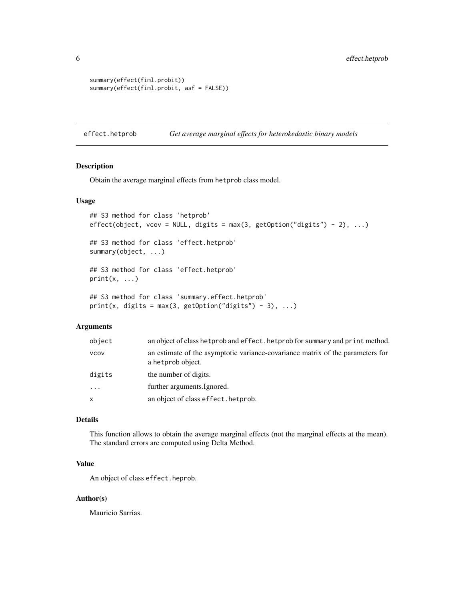```
summary(effect(fiml.probit))
summary(effect(fiml.probit, asf = FALSE))
```
effect.hetprob *Get average marginal effects for heterokedastic binary models*

#### Description

Obtain the average marginal effects from hetprob class model.

#### Usage

```
## S3 method for class 'hetprob'
effect(object, vcov = NULL, digits = max(3, getOption("digits") - 2), ...)
## S3 method for class 'effect.hetprob'
summary(object, ...)
## S3 method for class 'effect.hetprob'
print(x, \ldots)## S3 method for class 'summary.effect.hetprob'
print(x, digits = max(3, getOption("digits") - 3), ...)
```
#### Arguments

| object | an object of class het prob and effect. het prob for summary and print method.                      |
|--------|-----------------------------------------------------------------------------------------------------|
| vcov   | an estimate of the asymptotic variance-covariance matrix of the parameters for<br>a hetprob object. |
| digits | the number of digits.                                                                               |
| .      | further arguments. Ignored.                                                                         |
| x      | an object of class effect. het prob.                                                                |

#### Details

This function allows to obtain the average marginal effects (not the marginal effects at the mean). The standard errors are computed using Delta Method.

#### Value

An object of class effect.heprob.

#### Author(s)

Mauricio Sarrias.

<span id="page-5-0"></span>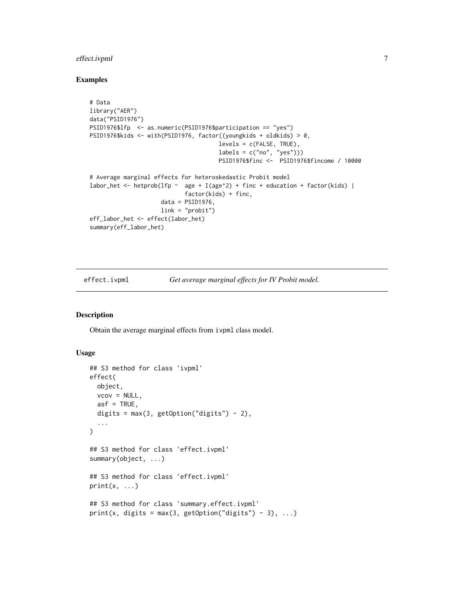#### <span id="page-6-0"></span>effect.ivpml 7

#### Examples

```
# Data
library("AER")
data("PSID1976")
PSID1976$lfp <- as.numeric(PSID1976$participation == "yes")
PSID1976$kids <- with(PSID1976, factor((youngkids + oldkids) > 0,
                                      levels = c(FALSE, TRUE),
                                      labels = c("no", "yes"))PSID1976$finc <- PSID1976$fincome / 10000
# Average marginal effects for heteroskedastic Probit model
labor_het <- hetprob(lfp \sim age + I(age^2) + finc + education + factor(kids) |
                            factor(kids) + finc,
                     data = PSID1976,
                    link = "probit")
eff_labor_het <- effect(labor_het)
summary(eff_labor_het)
```
effect.ivpml *Get average marginal effects for IV Probit model.*

#### Description

Obtain the average marginal effects from ivpml class model.

#### Usage

```
## S3 method for class 'ivpml'
effect(
 object,
  vcov = NULL,asf = TRUE,digits = max(3, getOption("digits") - 2),...
)
## S3 method for class 'effect.ivpml'
summary(object, ...)
## S3 method for class 'effect.ivpml'
print(x, \ldots)## S3 method for class 'summary.effect.ivpml'
print(x, digits = max(3, getOption("digits") - 3), ...)
```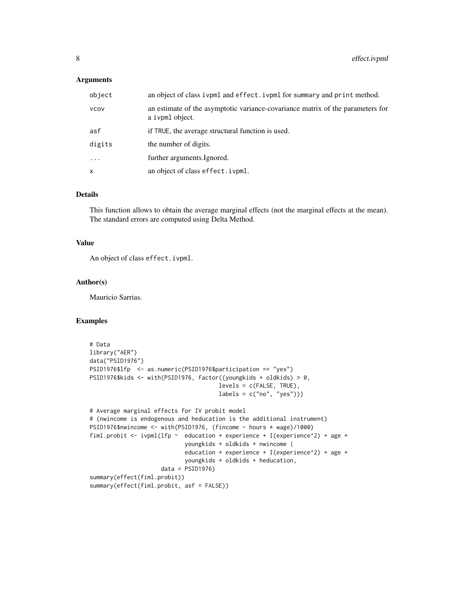#### Arguments

| object       | an object of class ivpml and effect. ivpml for summary and print method.                          |
|--------------|---------------------------------------------------------------------------------------------------|
| <b>VCOV</b>  | an estimate of the asymptotic variance-covariance matrix of the parameters for<br>a ivpml object. |
| asf          | if TRUE, the average structural function is used.                                                 |
| digits       | the number of digits.                                                                             |
| $\cdots$     | further arguments. Ignored.                                                                       |
| $\mathsf{x}$ | an object of class effect. ivpml.                                                                 |

#### Details

This function allows to obtain the average marginal effects (not the marginal effects at the mean). The standard errors are computed using Delta Method.

#### Value

An object of class effect.ivpml.

#### Author(s)

Mauricio Sarrias.

```
# Data
library("AER")
data("PSID1976")
PSID1976$lfp <- as.numeric(PSID1976$participation == "yes")
PSID1976$kids <- with(PSID1976, factor((youngkids + oldkids) > 0,
                                      levels = c(FALSE, TRUE),labels = c("no", "yes"))# Average marginal effects for IV probit model
# (nwincome is endogenous and heducation is the additional instrument)
PSID1976$nwincome <- with(PSID1976, (fincome - hours * wage)/1000)
fiml.probit \le ivpml(lfp \sim education + experience + I(experience^2) + age +
                            youngkids + oldkids + nwincome |
                            education + experience + I(experience^2) + age +
                            youngkids + oldkids + heducation,
                     data = PSID1976)
summary(effect(fiml.probit))
summary(effect(fiml.probit, asf = FALSE))
```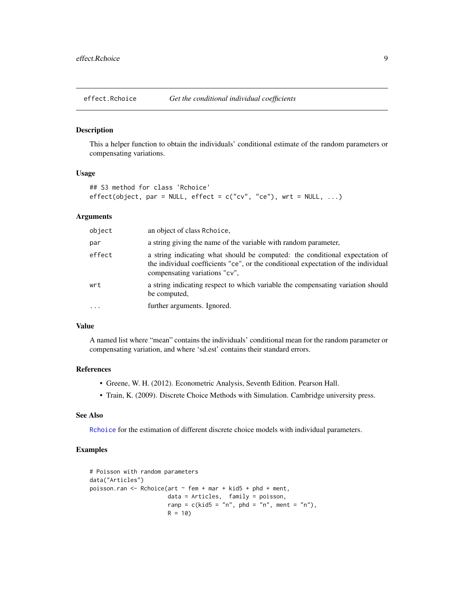<span id="page-8-1"></span><span id="page-8-0"></span>

#### Description

This a helper function to obtain the individuals' conditional estimate of the random parameters or compensating variations.

#### Usage

```
## S3 method for class 'Rchoice'
effect(object, par = NULL, effect = c("cv", "ce"), wrt = NULL, ...)
```
#### Arguments

| object | an object of class Rehoice.                                                                                                                                                                        |
|--------|----------------------------------------------------------------------------------------------------------------------------------------------------------------------------------------------------|
| par    | a string giving the name of the variable with random parameter,                                                                                                                                    |
| effect | a string indicating what should be computed: the conditional expectation of<br>the individual coefficients "ce", or the conditional expectation of the individual<br>compensating variations "cv", |
| wrt    | a string indicating respect to which variable the compensating variation should<br>be computed.                                                                                                    |
| .      | further arguments. Ignored.                                                                                                                                                                        |

#### Value

A named list where "mean" contains the individuals' conditional mean for the random parameter or compensating variation, and where 'sd.est' contains their standard errors.

#### References

- Greene, W. H. (2012). Econometric Analysis, Seventh Edition. Pearson Hall.
- Train, K. (2009). Discrete Choice Methods with Simulation. Cambridge university press.

#### See Also

[Rchoice](#page-21-1) for the estimation of different discrete choice models with individual parameters.

```
# Poisson with random parameters
data("Articles")
poisson.ran \leq Rchoice(art \sim fem + mar + kid5 + phd + ment,
                       data = Articles, family = poisson,
                       ranp = c(kid5 = "n", phd = "n", ment = "n"),R = 10
```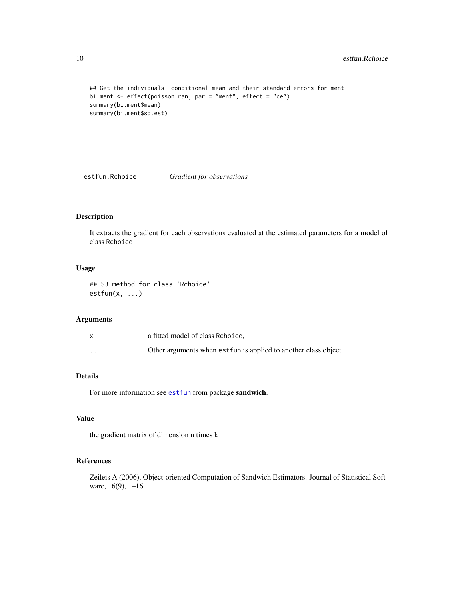```
## Get the individuals' conditional mean and their standard errors for ment
bi.ment <- effect(poisson.ran, par = "ment", effect = "ce")
summary(bi.ment$mean)
summary(bi.ment$sd.est)
```
estfun.Rchoice *Gradient for observations*

#### Description

It extracts the gradient for each observations evaluated at the estimated parameters for a model of class Rchoice

#### Usage

## S3 method for class 'Rchoice'  $estfun(x, \ldots)$ 

#### Arguments

|          | a fitted model of class Rchoice.                                |
|----------|-----------------------------------------------------------------|
| $\cdots$ | Other arguments when est fun is applied to another class object |

#### Details

For more information see [estfun](#page-0-0) from package sandwich.

#### Value

the gradient matrix of dimension n times k

#### References

Zeileis A (2006), Object-oriented Computation of Sandwich Estimators. Journal of Statistical Software, 16(9), 1–16.

<span id="page-9-0"></span>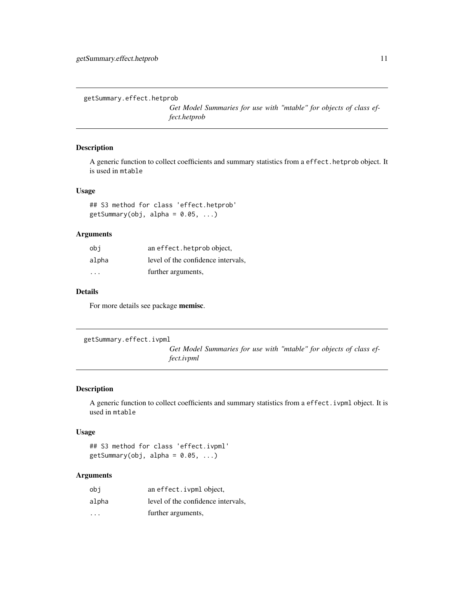<span id="page-10-0"></span>getSummary.effect.hetprob

*Get Model Summaries for use with "mtable" for objects of class effect.hetprob*

#### Description

A generic function to collect coefficients and summary statistics from a effect.hetprob object. It is used in mtable

#### Usage

## S3 method for class 'effect.hetprob'  $getSummary(obj, alpha = 0.05, ...)$ 

#### Arguments

| obi                     | an effect. hetprob object,         |
|-------------------------|------------------------------------|
| alpha                   | level of the confidence intervals. |
| $\cdot$ $\cdot$ $\cdot$ | further arguments,                 |

#### Details

For more details see package memisc.

getSummary.effect.ivpml

*Get Model Summaries for use with "mtable" for objects of class effect.ivpml*

#### Description

A generic function to collect coefficients and summary statistics from a effect.ivpml object. It is used in mtable

#### Usage

## S3 method for class 'effect.ivpml'  $getSummary(obj, alpha = 0.05, ...)$ 

| obi                     | an effect. ivpml object,           |
|-------------------------|------------------------------------|
| alpha                   | level of the confidence intervals. |
| $\cdot$ $\cdot$ $\cdot$ | further arguments,                 |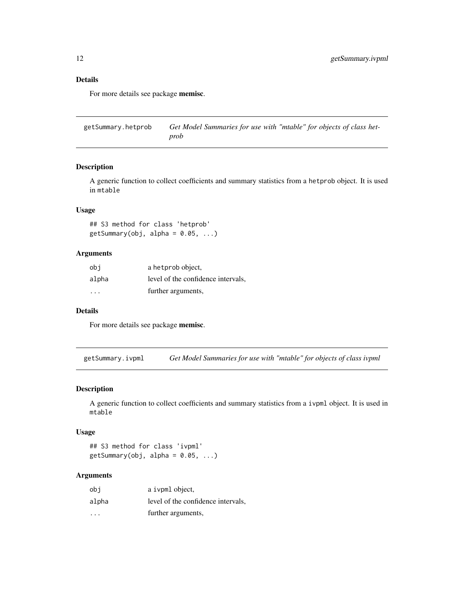#### Details

For more details see package memisc.

getSummary.hetprob *Get Model Summaries for use with "mtable" for objects of class hetprob*

#### Description

A generic function to collect coefficients and summary statistics from a hetprob object. It is used in mtable

#### Usage

## S3 method for class 'hetprob'  $getSummary(obj, alpha = 0.05, ...)$ 

#### Arguments

| obi                     | a hetprob object,                  |
|-------------------------|------------------------------------|
| alpha                   | level of the confidence intervals, |
| $\cdot$ $\cdot$ $\cdot$ | further arguments,                 |

#### Details

For more details see package memisc.

getSummary.ivpml *Get Model Summaries for use with "mtable" for objects of class ivpml*

#### Description

A generic function to collect coefficients and summary statistics from a ivpml object. It is used in mtable

#### Usage

## S3 method for class 'ivpml'  $getSummary(obj, alpha = 0.05, ...)$ 

| obi     | a ivpml object,                    |
|---------|------------------------------------|
| alpha   | level of the confidence intervals. |
| $\cdot$ | further arguments,                 |

<span id="page-11-0"></span>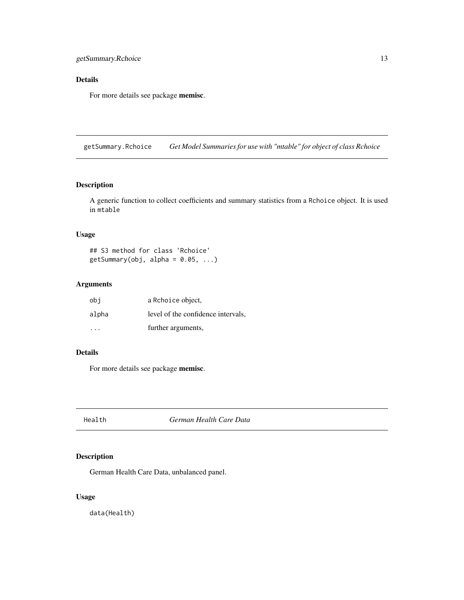### <span id="page-12-0"></span>Details

For more details see package memisc.

getSummary.Rchoice *Get Model Summaries for use with "mtable" for object of class Rchoice*

## Description

A generic function to collect coefficients and summary statistics from a Rchoice object. It is used in mtable

#### Usage

```
## S3 method for class 'Rchoice'
getSummary(obj, alpha = 0.05, ...)
```
#### Arguments

| obi      | a Rchoice object,                  |
|----------|------------------------------------|
| alpha    | level of the confidence intervals, |
| $\cdots$ | further arguments,                 |

#### Details

For more details see package memisc.

Health *German Health Care Data*

#### Description

German Health Care Data, unbalanced panel.

#### Usage

data(Health)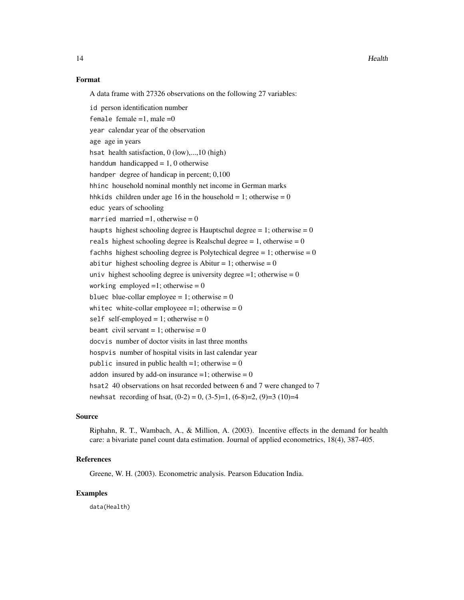#### Format

A data frame with 27326 observations on the following 27 variables:

id person identification number female female  $=1$ , male  $=0$ year calendar year of the observation age age in years hsat health satisfaction, 0 (low),...,10 (high) handdum handicapped  $= 1, 0$  otherwise handper degree of handicap in percent; 0,100 hhinc household nominal monthly net income in German marks hhkids children under age 16 in the household = 1; otherwise = 0 educ years of schooling married married  $=1$ , otherwise  $= 0$ haupts highest schooling degree is Hauptschul degree  $= 1$ ; otherwise  $= 0$ reals highest schooling degree is Realschul degree = 1, otherwise =  $0$ fachhs highest schooling degree is Polytechical degree = 1; otherwise =  $0$ abitur highest schooling degree is Abitur = 1; otherwise =  $0$ univ highest schooling degree is university degree =1; otherwise =  $0$ working employed  $=1$ ; otherwise  $= 0$ bluec blue-collar employee = 1; otherwise =  $0$ whitec white-collar employeee =1; otherwise =  $0$ self self-employed = 1; otherwise =  $0$ beamt civil servant = 1; otherwise =  $0$ docvis number of doctor visits in last three months hospvis number of hospital visits in last calendar year public insured in public health  $=1$ ; otherwise  $= 0$ addon insured by add-on insurance  $=1$ ; otherwise  $= 0$ hsat2 40 observations on hsat recorded between 6 and 7 were changed to 7 newhsat recording of hsat,  $(0-2) = 0$ ,  $(3-5)=1$ ,  $(6-8)=2$ ,  $(9)=3$   $(10)=4$ 

#### Source

Riphahn, R. T., Wambach, A., & Million, A. (2003). Incentive effects in the demand for health care: a bivariate panel count data estimation. Journal of applied econometrics, 18(4), 387-405.

#### References

Greene, W. H. (2003). Econometric analysis. Pearson Education India.

#### Examples

data(Health)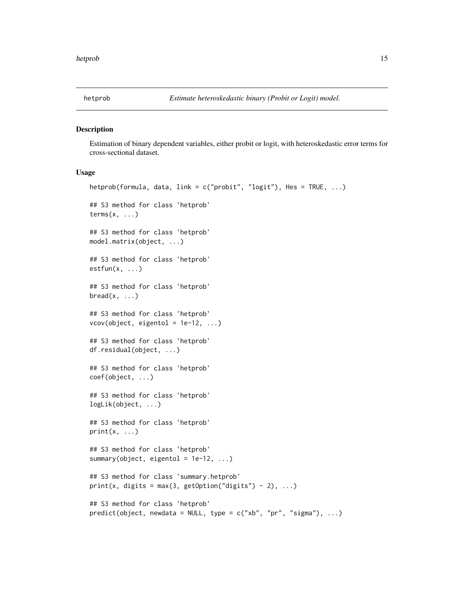<span id="page-14-0"></span>

#### Description

Estimation of binary dependent variables, either probit or logit, with heteroskedastic error terms for cross-sectional dataset.

#### Usage

```
hetprob(formula, data, link = c("probit", "logit"), Hes = TRUE, ...)
## S3 method for class 'hetprob'
terms(x, \ldots)## S3 method for class 'hetprob'
model.matrix(object, ...)
## S3 method for class 'hetprob'
estfun(x, ...)
## S3 method for class 'hetprob'
break(x, \ldots)## S3 method for class 'hetprob'
vcov(object, eigentol = 1e-12, ...)## S3 method for class 'hetprob'
df.residual(object, ...)
## S3 method for class 'hetprob'
coef(object, ...)
## S3 method for class 'hetprob'
logLik(object, ...)
## S3 method for class 'hetprob'
print(x, \ldots)## S3 method for class 'hetprob'
summary(object, eigentol = 1e-12, ...)
## S3 method for class 'summary.hetprob'
print(x, digits = max(3, getOption("digits") - 2), ...)
## S3 method for class 'hetprob'
predict(object, new data = NULL, type = c("xb", "pr", "sigma"), ...)
```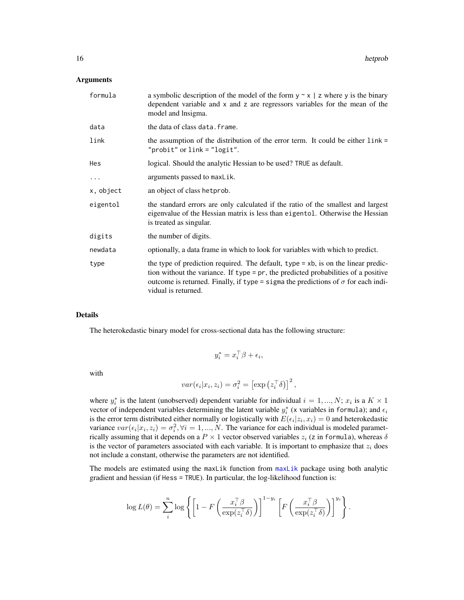#### <span id="page-15-0"></span>Arguments

| formula   | a symbolic description of the model of the form $y \sim x \mid z$ where y is the binary<br>dependent variable and x and z are regressors variables for the mean of the<br>model and lnsigma.                                                                                                 |
|-----------|----------------------------------------------------------------------------------------------------------------------------------------------------------------------------------------------------------------------------------------------------------------------------------------------|
| data      | the data of class data. frame.                                                                                                                                                                                                                                                               |
| link      | the assumption of the distribution of the error term. It could be either $link =$<br>" $probit"$ or $link = "logit".$                                                                                                                                                                        |
| Hes       | logical. Should the analytic Hessian to be used? TRUE as default.                                                                                                                                                                                                                            |
| $\ddotsc$ | arguments passed to maxLik.                                                                                                                                                                                                                                                                  |
| x, object | an object of class hetprob.                                                                                                                                                                                                                                                                  |
| eigentol  | the standard errors are only calculated if the ratio of the smallest and largest<br>eigenvalue of the Hessian matrix is less than eigentol. Otherwise the Hessian<br>is treated as singular.                                                                                                 |
| digits    | the number of digits.                                                                                                                                                                                                                                                                        |
| newdata   | optionally, a data frame in which to look for variables with which to predict.                                                                                                                                                                                                               |
| type      | the type of prediction required. The default, type $=$ xb, is on the linear predic-<br>tion without the variance. If type = pr, the predicted probabilities of a positive<br>outcome is returned. Finally, if type = sigma the predictions of $\sigma$ for each indi-<br>vidual is returned. |

#### Details

The heterokedastic binary model for cross-sectional data has the following structure:

$$
y_i^* = x_i^{\top} \beta + \epsilon_i,
$$

with

$$
var(\epsilon_i | x_i, z_i) = \sigma_i^2 = \left[ \exp \left( z_i^{\top} \delta \right) \right]^2,
$$

where  $y_i^*$  is the latent (unobserved) dependent variable for individual  $i = 1, ..., N; x_i$  is a  $K \times 1$ vector of independent variables determining the latent variable  $y_i^*$  (x variables in formula); and  $\epsilon_i$ is the error term distributed either normally or logistically with  $E(\epsilon_i | z_i, x_i) = 0$  and heterokedastic variance  $var(\epsilon_i | x_i, z_i) = \sigma_i^2, \forall i = 1, ..., N$ . The variance for each individual is modeled parametrically assuming that it depends on a  $P \times 1$  vector observed variables  $z_i$  (z in formula), whereas  $\delta$ is the vector of parameters associated with each variable. It is important to emphasize that  $z_i$  does not include a constant, otherwise the parameters are not identified.

The models are estimated using the maxLik function from [maxLik](#page-0-0) package using both analytic gradient and hessian (if Hess = TRUE). In particular, the log-likelihood function is:

$$
\log L(\theta) = \sum_{i}^{n} \log \left\{ \left[ 1 - F\left( \frac{x_i^{\top} \beta}{\exp(z_i^{\top} \delta)} \right) \right]^{1 - y_i} \left[ F\left( \frac{x_i^{\top} \beta}{\exp(z_i^{\top} \delta)} \right) \right]^{y_i} \right\}.
$$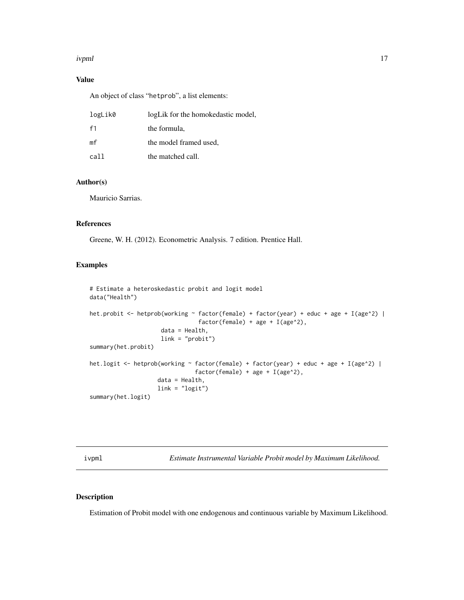#### <span id="page-16-0"></span>ivpml 17

#### Value

An object of class "hetprob", a list elements:

| logLik0        | logLik for the homokedastic model, |
|----------------|------------------------------------|
| f1             | the formula,                       |
| m <sub>f</sub> | the model framed used,             |
| call           | the matched call.                  |

#### Author(s)

Mauricio Sarrias.

#### References

Greene, W. H. (2012). Econometric Analysis. 7 edition. Prentice Hall.

#### Examples

```
# Estimate a heteroskedastic probit and logit model
data("Health")
het.probit <- hetprob(working ~ factor(female) + factor(year) + educ + age + I(age^2) |
                                factor(female) + age + I(age^2),data = Health,
                     link = "probit")
summary(het.probit)
het.logit <- hetprob(working ~ factor(female) + factor(year) + educ + age + I(age^2) |
                               factor(female) + age + I(age^2),data = Health,
                    link = "logit")
summary(het.logit)
```
ivpml *Estimate Instrumental Variable Probit model by Maximum Likelihood.*

#### Description

Estimation of Probit model with one endogenous and continuous variable by Maximum Likelihood.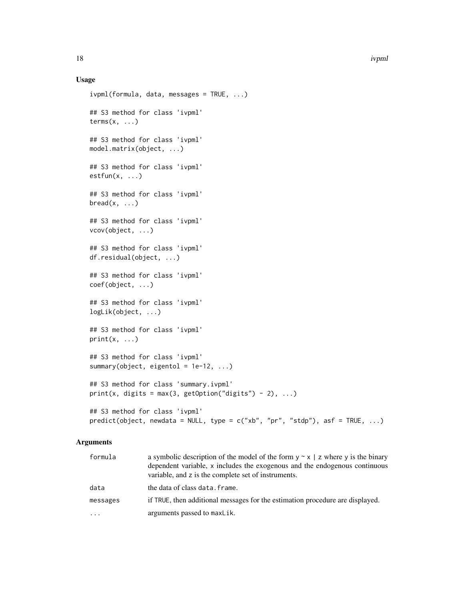#### Usage

```
ivpm(formula, data, messages = TRUE, ...)## S3 method for class 'ivpml'
terms(x, \ldots)## S3 method for class 'ivpml'
model.matrix(object, ...)
## S3 method for class 'ivpml'
estfun(x, \ldots)## S3 method for class 'ivpml'
break(x, \ldots)## S3 method for class 'ivpml'
vcov(object, ...)
## S3 method for class 'ivpml'
df.residual(object, ...)
## S3 method for class 'ivpml'
coef(object, ...)
## S3 method for class 'ivpml'
logLik(object, ...)
## S3 method for class 'ivpml'
print(x, \ldots)## S3 method for class 'ivpml'
summary(object, eigentol = 1e-12, ...)
## S3 method for class 'summary.ivpml'
print(x, digits = max(3, getOption("digits") - 2), ...)
## S3 method for class 'ivpml'
predict(object, newdata = NULL, type = c("xb", "pr", "stab"), asf = TRUE, ...)
```

| formula  | a symbolic description of the model of the form $y \sim x \mid z$ where y is the binary<br>dependent variable, x includes the exogenous and the endogenous continuous<br>variable, and z is the complete set of instruments. |
|----------|------------------------------------------------------------------------------------------------------------------------------------------------------------------------------------------------------------------------------|
| data     | the data of class data. frame.                                                                                                                                                                                               |
| messages | if TRUE, then additional messages for the estimation procedure are displayed.                                                                                                                                                |
| $\cdots$ | arguments passed to maxLik.                                                                                                                                                                                                  |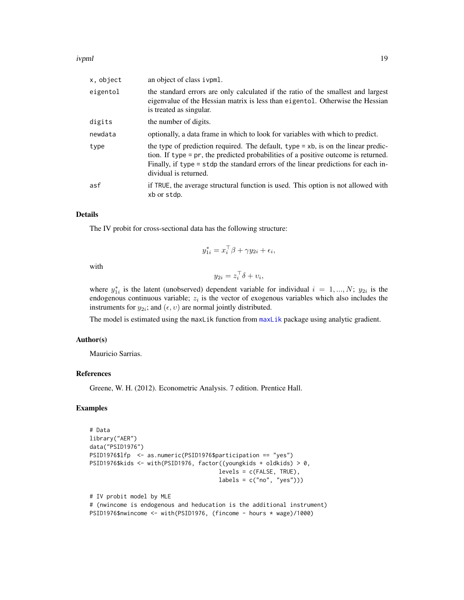#### <span id="page-18-0"></span>ivpml 19

| x, object | an object of class ivpml.                                                                                                                                                                                                                                                                |
|-----------|------------------------------------------------------------------------------------------------------------------------------------------------------------------------------------------------------------------------------------------------------------------------------------------|
| eigentol  | the standard errors are only calculated if the ratio of the smallest and largest<br>eigenvalue of the Hessian matrix is less than eigentol. Otherwise the Hessian<br>is treated as singular.                                                                                             |
| digits    | the number of digits.                                                                                                                                                                                                                                                                    |
| newdata   | optionally, a data frame in which to look for variables with which to predict.                                                                                                                                                                                                           |
| type      | the type of prediction required. The default, type $=$ xb, is on the linear predic-<br>tion. If type = pr, the predicted probabilities of a positive outcome is returned.<br>Finally, if type = stdp the standard errors of the linear predictions for each in-<br>dividual is returned. |
| asf       | if TRUE, the average structural function is used. This option is not allowed with<br>xb or stdp.                                                                                                                                                                                         |

#### Details

The IV probit for cross-sectional data has the following structure:

$$
y_{1i}^* = x_i^\top \beta + \gamma y_{2i} + \epsilon_i,
$$

with

 $y_{2i} = z_i^{\top} \delta + v_i,$ 

where  $y_{1i}^*$  is the latent (unobserved) dependent variable for individual  $i = 1, ..., N$ ;  $y_{2i}$  is the endogenous continuous variable;  $z<sub>i</sub>$  is the vector of exogenous variables which also includes the instruments for  $y_{2i}$ ; and  $(\epsilon, v)$  are normal jointly distributed.

The model is estimated using the maxLik function from [maxLik](#page-0-0) package using analytic gradient.

#### Author(s)

Mauricio Sarrias.

#### References

Greene, W. H. (2012). Econometric Analysis. 7 edition. Prentice Hall.

```
# Data
library("AER")
data("PSID1976")
PSID1976$lfp <- as.numeric(PSID1976$participation == "yes")
PSID1976$kids <- with(PSID1976, factor((youngkids + oldkids) > 0,
                                      levels = c(FALSE, TRUE),
                                      labels = c("no", "yes"))# IV probit model by MLE
# (nwincome is endogenous and heducation is the additional instrument)
```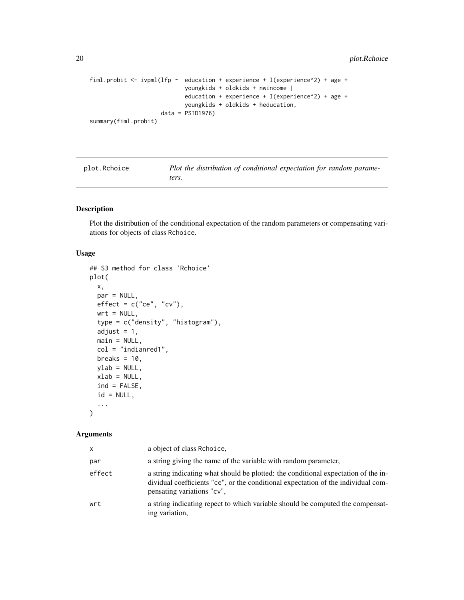```
fiml.probit \le ivpml(lfp \sim education + experience + I(experience^2) + age +
                            youngkids + oldkids + nwincome |
                            education + experience + I(experience^2) + age +
                            youngkids + oldkids + heducation,
                     data = PSID1976)
summary(fiml.probit)
```
<span id="page-19-1"></span>

| plot.Rchoice | Plot the distribution of conditional expectation for random parame- |
|--------------|---------------------------------------------------------------------|
|              | ters.                                                               |

#### Description

Plot the distribution of the conditional expectation of the random parameters or compensating variations for objects of class Rchoice.

#### Usage

```
## S3 method for class 'Rchoice'
plot(
 x,
 par = NULL,
 effect = c("ce", "cv"),wrt = NULL,type = c("density", "histogram"),
  adjust = 1,main = NULL,
 col = "indianred1",breaks = 10,
 vlab = NULL,
 xlab = NULL,
  ind = FALSE,id = NULL,...
\mathcal{L}
```

| x      | a object of class Rehoice.                                                                                                                                                                            |
|--------|-------------------------------------------------------------------------------------------------------------------------------------------------------------------------------------------------------|
| par    | a string giving the name of the variable with random parameter,                                                                                                                                       |
| effect | a string indicating what should be plotted: the conditional expectation of the in-<br>dividual coefficients "ce", or the conditional expectation of the individual com-<br>pensating variations "cv", |
| wrt    | a string indicating repect to which variable should be computed the compensat-<br>ing variation.                                                                                                      |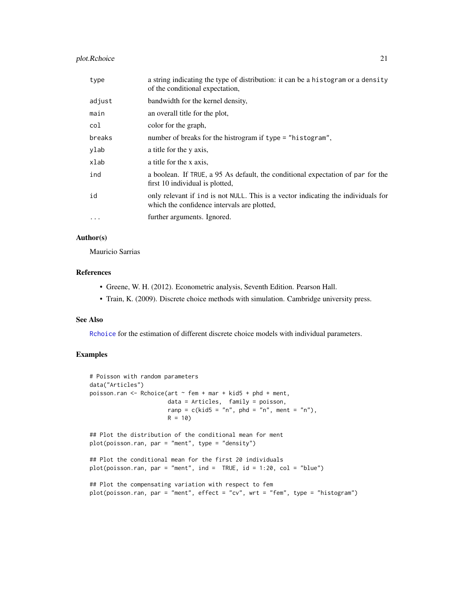#### <span id="page-20-0"></span>plot.Rchoice 21

| type     | a string indicating the type of distribution: it can be a histogram or a density<br>of the conditional expectation,              |
|----------|----------------------------------------------------------------------------------------------------------------------------------|
| adjust   | bandwidth for the kernel density,                                                                                                |
| main     | an overall title for the plot,                                                                                                   |
| col      | color for the graph,                                                                                                             |
| breaks   | number of breaks for the histrogram if type = "histogram",                                                                       |
| ylab     | a title for the y axis,                                                                                                          |
| xlab     | a title for the x axis,                                                                                                          |
| ind      | a boolean. If TRUE, a 95 As default, the conditional expectation of par for the<br>first 10 individual is plotted,               |
| id       | only relevant if ind is not NULL. This is a vector indicating the individuals for<br>which the confidence intervals are plotted, |
| $\cdots$ | further arguments. Ignored.                                                                                                      |

#### Author(s)

Mauricio Sarrias

#### References

- Greene, W. H. (2012). Econometric analysis, Seventh Edition. Pearson Hall.
- Train, K. (2009). Discrete choice methods with simulation. Cambridge university press.

#### See Also

[Rchoice](#page-21-1) for the estimation of different discrete choice models with individual parameters.

```
# Poisson with random parameters
data("Articles")
poisson.ran \leq Rchoice(art \sim fem + mar + kid5 + phd + ment,
                      data = Articles, family = poisson,
                      ranp = c(kid5 = "n", phd = "n", ment = "n"),R = 10## Plot the distribution of the conditional mean for ment
plot(poisson.ran, par = "ment", type = "density")
## Plot the conditional mean for the first 20 individuals
plot(poisson.ran, par = "ment", ind = TRUE, id = 1:20, col = "blue")
## Plot the compensating variation with respect to fem
plot(poisson.ran, par = "ment", effect = "cv", wrt = "fem", type = "histogram")
```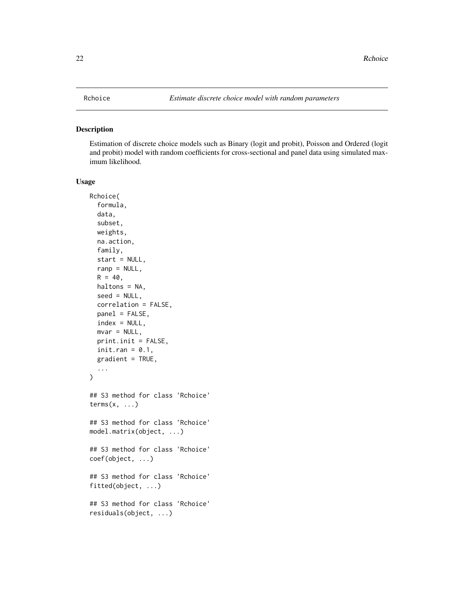#### <span id="page-21-1"></span><span id="page-21-0"></span>Description

Estimation of discrete choice models such as Binary (logit and probit), Poisson and Ordered (logit and probit) model with random coefficients for cross-sectional and panel data using simulated maximum likelihood.

#### Usage

```
Rchoice(
  formula,
  data,
  subset,
 weights,
 na.action,
  family,
  start = NULL,
  ranp = NULL,
 R = 40,haltons = NA,
  seed = NULL,
  correlation = FALSE,
 panel = FALSE,index = NULL,
 mvar = NULL,print.init = FALSE,
  init.ran = 0.1,
  gradient = TRUE,
  ...
)
## S3 method for class 'Rchoice'
terms(x, \ldots)## S3 method for class 'Rchoice'
model.matrix(object, ...)
## S3 method for class 'Rchoice'
coef(object, ...)
## S3 method for class 'Rchoice'
fitted(object, ...)
## S3 method for class 'Rchoice'
residuals(object, ...)
```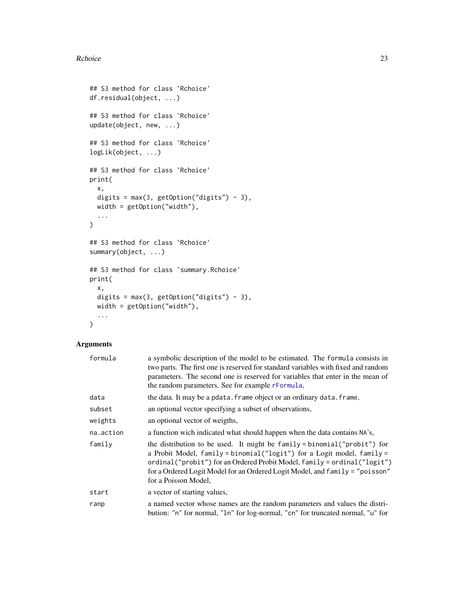#### <span id="page-22-0"></span>Rchoice 23

```
## S3 method for class 'Rchoice'
df.residual(object, ...)
## S3 method for class 'Rchoice'
update(object, new, ...)
## S3 method for class 'Rchoice'
logLik(object, ...)
## S3 method for class 'Rchoice'
print(
 x,
 digits = max(3, getOption("digits") - 3),
 width = getOption("width"),
  ...
\mathcal{L}## S3 method for class 'Rchoice'
summary(object, ...)
## S3 method for class 'summary.Rchoice'
print(
 x,
 digits = max(3, getOption("digits") - 3),width = getOption("width"),
  ...
\mathcal{L}
```

| formula   | a symbolic description of the model to be estimated. The formula consists in<br>two parts. The first one is reserved for standard variables with fixed and random<br>parameters. The second one is reserved for variables that enter in the mean of<br>the random parameters. See for example rFormula,                                |
|-----------|----------------------------------------------------------------------------------------------------------------------------------------------------------------------------------------------------------------------------------------------------------------------------------------------------------------------------------------|
| data      | the data. It may be a pdata. frame object or an ordinary data. frame,                                                                                                                                                                                                                                                                  |
| subset    | an optional vector specifying a subset of observations,                                                                                                                                                                                                                                                                                |
| weights   | an optional vector of weigths,                                                                                                                                                                                                                                                                                                         |
| na.action | a function wich indicated what should happen when the data contains NA's,                                                                                                                                                                                                                                                              |
| family    | the distribution to be used. It might be family = binomial("probit") for<br>a Probit Model, family = binomial("logit") for a Logit model, family =<br>ordinal("probit") for an Ordered Probit Model, family = ordinal("logit")<br>for a Ordered Logit Model for an Ordered Logit Model, and family = "poisson"<br>for a Poisson Model, |
| start     | a vector of starting values,                                                                                                                                                                                                                                                                                                           |
| ranp      | a named vector whose names are the random parameters and values the distri-<br>bution: "n" for normal, "ln" for log-normal, "cn" for truncated normal, "u" for                                                                                                                                                                         |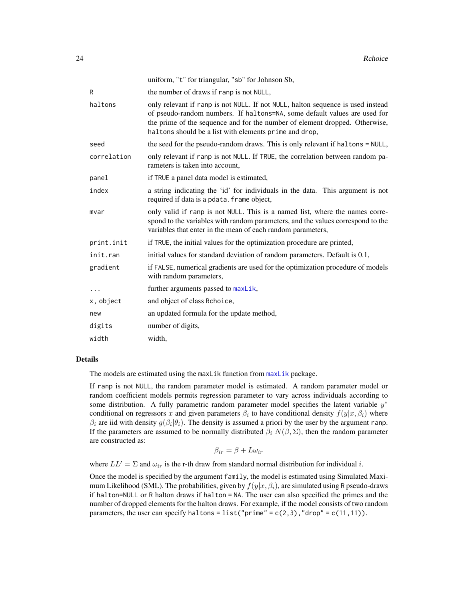<span id="page-23-0"></span>

|             | uniform, "t" for triangular, "sb" for Johnson Sb,                                                                                                                                                                                                                                                     |
|-------------|-------------------------------------------------------------------------------------------------------------------------------------------------------------------------------------------------------------------------------------------------------------------------------------------------------|
| R           | the number of draws if ranp is not NULL,                                                                                                                                                                                                                                                              |
| haltons     | only relevant if ranp is not NULL. If not NULL, halton sequence is used instead<br>of pseudo-random numbers. If haltons=NA, some default values are used for<br>the prime of the sequence and for the number of element dropped. Otherwise,<br>haltons should be a list with elements prime and drop, |
| seed        | the seed for the pseudo-random draws. This is only relevant if haltons = NULL,                                                                                                                                                                                                                        |
| correlation | only relevant if ranp is not NULL. If TRUE, the correlation between random pa-<br>rameters is taken into account,                                                                                                                                                                                     |
| panel       | if TRUE a panel data model is estimated,                                                                                                                                                                                                                                                              |
| index       | a string indicating the 'id' for individuals in the data. This argument is not<br>required if data is a pdata. frame object,                                                                                                                                                                          |
| mvar        | only valid if ranp is not NULL. This is a named list, where the names corre-<br>spond to the variables with random parameters, and the values correspond to the<br>variables that enter in the mean of each random parameters,                                                                        |
| print.init  | if TRUE, the initial values for the optimization procedure are printed,                                                                                                                                                                                                                               |
| init.ran    | initial values for standard deviation of random parameters. Default is 0.1,                                                                                                                                                                                                                           |
| gradient    | if FALSE, numerical gradients are used for the optimization procedure of models<br>with random parameters,                                                                                                                                                                                            |
|             | further arguments passed to maxLik,                                                                                                                                                                                                                                                                   |
| x, object   | and object of class Rchoice,                                                                                                                                                                                                                                                                          |
| new         | an updated formula for the update method,                                                                                                                                                                                                                                                             |
| digits      | number of digits,                                                                                                                                                                                                                                                                                     |
| width       | width.                                                                                                                                                                                                                                                                                                |

#### Details

The models are estimated using the maxLik function from [maxLik](#page-0-0) package.

If ranp is not NULL, the random parameter model is estimated. A random parameter model or random coefficient models permits regression parameter to vary across individuals according to some distribution. A fully parametric random parameter model specifies the latent variable  $y^*$ conditional on regressors x and given parameters  $\beta_i$  to have conditional density  $f(y|x, \beta_i)$  where  $\beta_i$  are iid with density  $g(\beta_i|\theta_i)$ . The density is assumed a priori by the user by the argument ranp. If the parameters are assumed to be normally distributed  $\beta_i N(\beta, \Sigma)$ , then the random parameter are constructed as:

$$
\beta_{ir} = \beta + L\omega_{ir}
$$

where  $LL' = \Sigma$  and  $\omega_{ir}$  is the r-th draw from standard normal distribution for individual i.

Once the model is specified by the argument family, the model is estimated using Simulated Maximum Likelihood (SML). The probabilities, given by  $f(y|x, \beta_i)$ , are simulated using R pseudo-draws if halton=NULL or R halton draws if halton = NA. The user can also specified the primes and the number of dropped elements for the halton draws. For example, if the model consists of two random parameters, the user can specify haltons = list("prime" =  $c(2,3)$ , "drop" =  $c(11,11)$ ).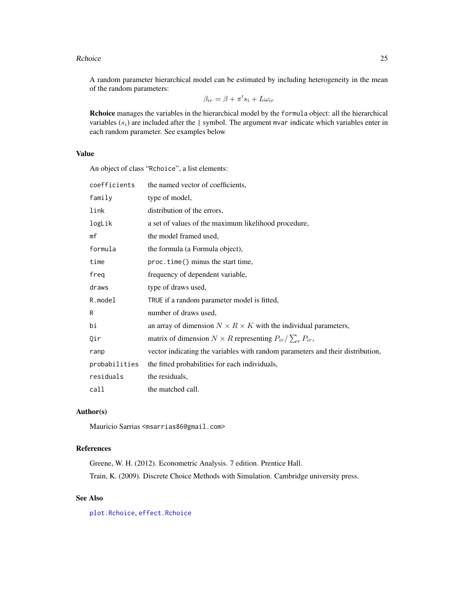#### <span id="page-24-0"></span>Rchoice 25

A random parameter hierarchical model can be estimated by including heterogeneity in the mean of the random parameters:

$$
\beta_{ir} = \beta + \pi's_i + L\omega_{ir}
$$

Rchoice manages the variables in the hierarchical model by the formula object: all the hierarchical variables  $(s_i)$  are included after the | symbol. The argument mvar indicate which variables enter in each random parameter. See examples below

#### Value

An object of class "Rchoice", a list elements:

| coefficients  | the named vector of coefficients,                                              |
|---------------|--------------------------------------------------------------------------------|
| family        | type of model,                                                                 |
| link          | distribution of the errors,                                                    |
| logLik        | a set of values of the maximum likelihood procedure,                           |
| mf            | the model framed used,                                                         |
| formula       | the formula (a Formula object),                                                |
| time          | proc.time() minus the start time,                                              |
| freg          | frequency of dependent variable,                                               |
| draws         | type of draws used,                                                            |
| R.model       | TRUE if a random parameter model is fitted,                                    |
| R             | number of draws used,                                                          |
| bi            | an array of dimension $N \times R \times K$ with the individual parameters,    |
| Qir           | matrix of dimension $N \times R$ representing $P_{ir}/\sum_{r} P_{ir}$ ,       |
| ranp          | vector indicating the variables with random parameters and their distribution, |
| probabilities | the fitted probabilities for each individuals,                                 |
| residuals     | the residuals,                                                                 |
| call          | the matched call.                                                              |

#### Author(s)

Mauricio Sarrias <msarrias86@gmail.com>

#### References

Greene, W. H. (2012). Econometric Analysis. 7 edition. Prentice Hall. Train, K. (2009). Discrete Choice Methods with Simulation. Cambridge university press.

#### See Also

[plot.Rchoice](#page-19-1), [effect.Rchoice](#page-8-1)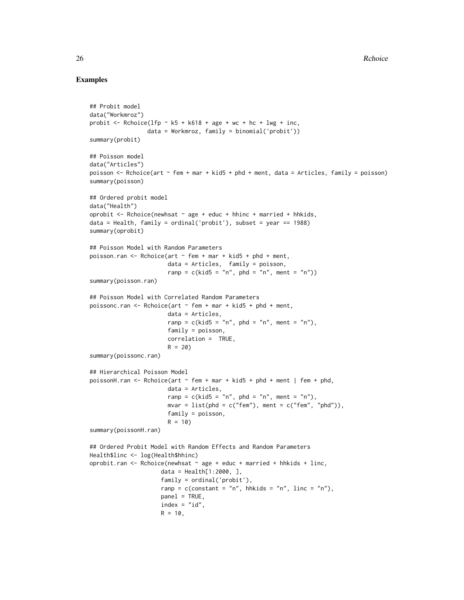```
## Probit model
data("Workmroz")
probit \leq Rchoice(lfp \sim k5 + k618 + age + wc + hc + lwg + inc,
                 data = Workmroz, family = binomial('probit'))
summary(probit)
## Poisson model
data("Articles")
poisson <- Rchoice(art ~ fem + mar + kid5 + phd + ment, data = Articles, family = poisson)
summary(poisson)
## Ordered probit model
data("Health")
oprobit \leq Rchoice(newhsat \sim age + educ + hhinc + married + hhkids,
data = Health, family = ordinal('probit'), subset = year == 1988)
summary(oprobit)
## Poisson Model with Random Parameters
poisson.ran \leq Rchoice(art \sim fem + mar + kid5 + phd + ment,
                       data = Articles, family = poisson,
                       ranp = c(kid5 = "n", phd = "n", ment = "n"))summary(poisson.ran)
## Poisson Model with Correlated Random Parameters
poissonc.ran \leq Rchoice(art \sim fem + mar + kid5 + phd + ment,
                       data = Articles,
                       ranp = c(kid5 = "n", phd = "n", ment = "n"),family = poisson,
                       correlation = TRUE,
                       R = 20summary(poissonc.ran)
## Hierarchical Poisson Model
poissonH.ran <- Rchoice(art ~ fem + mar + kid5 + phd + ment | fem + phd,
                       data = Articles,
                       ranp = c(kid5 = "n", phd = "n", ment = "n"),mvar = list(phd = c("fem"), ment = c("fem", "phd")),
                       family = poisson,
                       R = 10summary(poissonH.ran)
## Ordered Probit Model with Random Effects and Random Parameters
Health$linc <- log(Health$hhinc)
oprobit.ran \leq Rchoice(newhsat \sim age + educ + married + hhkids + linc,
                     data = Health[1:2000, ],
                     family = ordinal('probit'),
                     ranp = c(constant = "n", hhkids = "n", linc = "n"),
                     panel = TRUE,
                     index = "id",R = 10,
```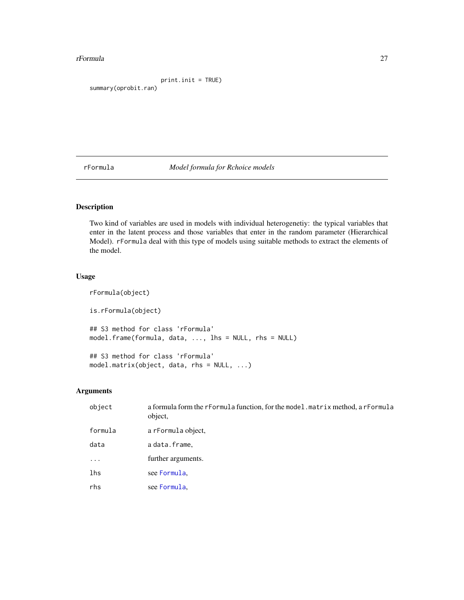#### <span id="page-26-0"></span>rFormula 27

```
print.init = TRUE)
summary(oprobit.ran)
```
<span id="page-26-1"></span>rFormula *Model formula for Rchoice models*

#### Description

Two kind of variables are used in models with individual heterogenetiy: the typical variables that enter in the latent process and those variables that enter in the random parameter (Hierarchical Model). rFormula deal with this type of models using suitable methods to extract the elements of the model.

#### Usage

```
rFormula(object)
is.rFormula(object)
## S3 method for class 'rFormula'
model.frame(formula, data, ..., lhs = NULL, rhs = NULL)
## S3 method for class 'rFormula'
model.matrix(object, data, rhs = NULL, ...)
```

| object     | a formula form the rFormula function, for the model. matrix method, a rFormula<br>object, |
|------------|-------------------------------------------------------------------------------------------|
| formula    | a rFormula object,                                                                        |
| data       | a data.frame.                                                                             |
| $\ddots$ . | further arguments.                                                                        |
| lhs        | see Formula.                                                                              |
| rhs        | see Formula,                                                                              |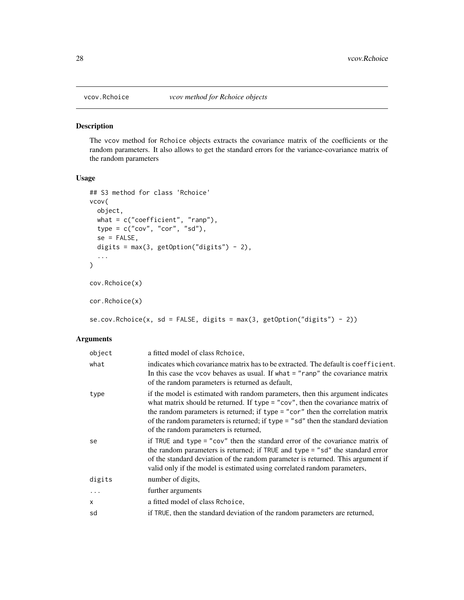<span id="page-27-0"></span>

#### Description

The vcov method for Rchoice objects extracts the covariance matrix of the coefficients or the random parameters. It also allows to get the standard errors for the variance-covariance matrix of the random parameters

#### Usage

```
## S3 method for class 'Rchoice'
vcov(
 object,
 what = c("coefficient", "ranp"),
 type = c("cov", "cor", "sd"),
 se = FALSE,digits = max(3, getOption("digits") - 2),
  ...
)
cov.Rchoice(x)
cor.Rchoice(x)
se.cov.Rchoice(x, sd = FALSE, digits = max(3, getOption("digits") - 2))
```

| object     | a fitted model of class Rchoice,                                                                                                                                                                                                                                                                                                                                                |
|------------|---------------------------------------------------------------------------------------------------------------------------------------------------------------------------------------------------------------------------------------------------------------------------------------------------------------------------------------------------------------------------------|
| what       | indicates which covariance matrix has to be extracted. The default is coefficient.<br>In this case the vcov behaves as usual. If what $=$ "ranp" the covariance matrix<br>of the random parameters is returned as default,                                                                                                                                                      |
| type       | if the model is estimated with random parameters, then this argument indicates<br>what matrix should be returned. If type = "cov", then the covariance matrix of<br>the random parameters is returned; if type = "cor" then the correlation matrix<br>of the random parameters is returned; if type = "sd" then the standard deviation<br>of the random parameters is returned, |
| se         | if TRUE and type = "cov" then the standard error of the covariance matrix of<br>the random parameters is returned; if TRUE and type = "sd" the standard error<br>of the standard deviation of the random parameter is returned. This argument if<br>valid only if the model is estimated using correlated random parameters,                                                    |
| digits     | number of digits,                                                                                                                                                                                                                                                                                                                                                               |
| $\ddots$ . | further arguments                                                                                                                                                                                                                                                                                                                                                               |
| X          | a fitted model of class Rchoice.                                                                                                                                                                                                                                                                                                                                                |
| sd         | if TRUE, then the standard deviation of the random parameters are returned,                                                                                                                                                                                                                                                                                                     |
|            |                                                                                                                                                                                                                                                                                                                                                                                 |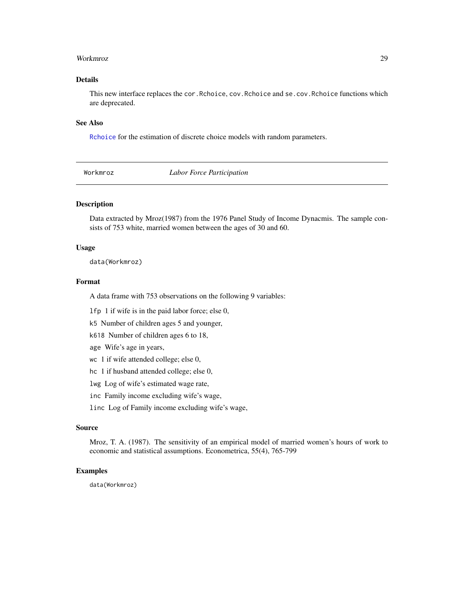#### <span id="page-28-0"></span>Workmroz 29

#### Details

This new interface replaces the cor.Rchoice, cov.Rchoice and se.cov.Rchoice functions which are deprecated.

#### See Also

[Rchoice](#page-21-1) for the estimation of discrete choice models with random parameters.

Workmroz *Labor Force Participation*

#### Description

Data extracted by Mroz(1987) from the 1976 Panel Study of Income Dynacmis. The sample consists of 753 white, married women between the ages of 30 and 60.

#### Usage

data(Workmroz)

#### Format

A data frame with 753 observations on the following 9 variables:

lfp 1 if wife is in the paid labor force; else 0,

k5 Number of children ages 5 and younger,

k618 Number of children ages 6 to 18,

age Wife's age in years,

wc 1 if wife attended college; else 0,

hc 1 if husband attended college; else 0,

lwg Log of wife's estimated wage rate,

inc Family income excluding wife's wage,

linc Log of Family income excluding wife's wage,

#### Source

Mroz, T. A. (1987). The sensitivity of an empirical model of married women's hours of work to economic and statistical assumptions. Econometrica, 55(4), 765-799

#### Examples

data(Workmroz)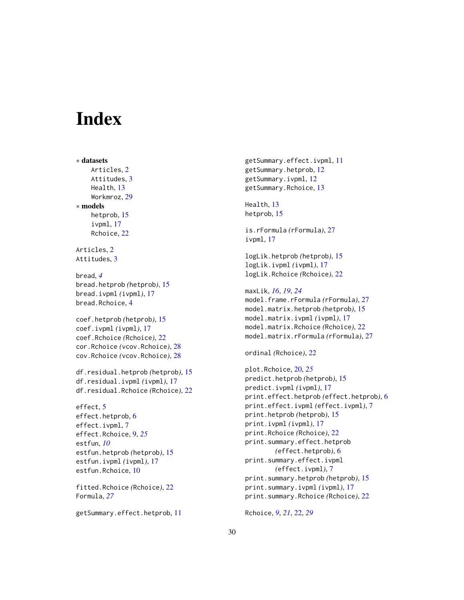# <span id="page-29-0"></span>**Index**

∗ datasets Articles, [2](#page-1-0) Attitudes, [3](#page-2-0) Health, [13](#page-12-0) Workmroz, [29](#page-28-0) ∗ models hetprob, [15](#page-14-0) ivpml, [17](#page-16-0) Rchoice, [22](#page-21-0) Articles, [2](#page-1-0) Attitudes, [3](#page-2-0) bread, *[4](#page-3-0)* bread.hetprob *(*hetprob*)*, [15](#page-14-0) bread.ivpml *(*ivpml*)*, [17](#page-16-0) bread.Rchoice, [4](#page-3-0) coef.hetprob *(*hetprob*)*, [15](#page-14-0) coef.ivpml *(*ivpml*)*, [17](#page-16-0) coef.Rchoice *(*Rchoice*)*, [22](#page-21-0) cor.Rchoice *(*vcov.Rchoice*)*, [28](#page-27-0) cov.Rchoice *(*vcov.Rchoice*)*, [28](#page-27-0) df.residual.hetprob *(*hetprob*)*, [15](#page-14-0) df.residual.ivpml *(*ivpml*)*, [17](#page-16-0) df.residual.Rchoice *(*Rchoice*)*, [22](#page-21-0) effect, [5](#page-4-0) effect.hetprob, [6](#page-5-0) effect.ivpml, [7](#page-6-0) effect.Rchoice, [9,](#page-8-0) *[25](#page-24-0)* estfun, *[10](#page-9-0)* estfun.hetprob *(*hetprob*)*, [15](#page-14-0) estfun.ivpml *(*ivpml*)*, [17](#page-16-0) estfun.Rchoice, [10](#page-9-0) fitted.Rchoice *(*Rchoice*)*, [22](#page-21-0) Formula, *[27](#page-26-0)*

getSummary.effect.hetprob, [11](#page-10-0)

getSummary.effect.ivpml, [11](#page-10-0) getSummary.hetprob, [12](#page-11-0) getSummary.ivpml, [12](#page-11-0) getSummary.Rchoice, [13](#page-12-0)

Health, [13](#page-12-0) hetprob, [15](#page-14-0)

is.rFormula *(*rFormula*)*, [27](#page-26-0) ivpml, [17](#page-16-0)

logLik.hetprob *(*hetprob*)*, [15](#page-14-0) logLik.ivpml *(*ivpml*)*, [17](#page-16-0) logLik.Rchoice *(*Rchoice*)*, [22](#page-21-0)

```
maxLik, 16, 19, 24
model.frame.rFormula (rFormula), 27
model.matrix.hetprob (hetprob), 15
```
model.matrix.ivpml *(*ivpml*)*, [17](#page-16-0) model.matrix.Rchoice *(*Rchoice*)*, [22](#page-21-0) model.matrix.rFormula *(*rFormula*)*, [27](#page-26-0)

ordinal *(*Rchoice*)*, [22](#page-21-0)

```
plot.Rchoice, 20, 25
predict.hetprob (hetprob), 15
predict.ivpml (ivpml), 17
print.effect.hetprob (effect.hetprob), 6
print.effect.ivpml (effect.ivpml), 7
print.hetprob (hetprob), 15
print.ivpml (ivpml), 17
print.Rchoice (Rchoice), 22
print.summary.effect.hetprob
        (effect.hetprob), 6
print.summary.effect.ivpml
        (effect.ivpml), 7
print.summary.hetprob (hetprob), 15
print.summary.ivpml (ivpml), 17
print.summary.Rchoice (Rchoice), 22
```
Rchoice, *[9](#page-8-0)*, *[21](#page-20-0)*, [22,](#page-21-0) *[29](#page-28-0)*